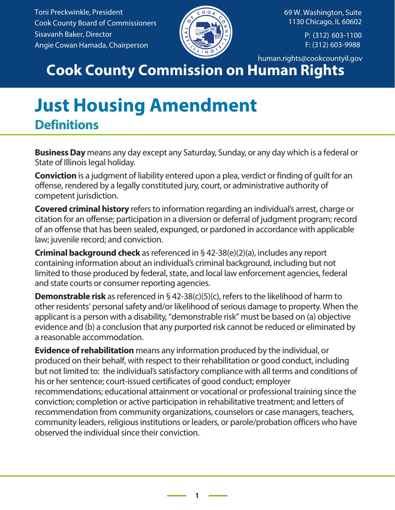Toni Preckwinkle, President Cook County Board of Commissioners Sisavanh Baker, Director Angie Cowan Hamada, Chairperson



69 W. Washington, Suite 1130 Chicago, IL 60602

> P: (312) 603-1100 F: (312) 603-9988

human.rights@cookcountyil.gov

## **Cook County Commission on Human Rights**

## **Just Housing Amendment Definitions**

**Business Day** means any day except any Saturday, Sunday, or any day which is a federal or State of Illinois legal holiday.

**Conviction** is a judgment of liability entered upon a plea, verdict or finding of guilt for an offense, rendered by a legally constituted jury, court, or administrative authority of competent jurisdiction.

**Covered criminal history** refers to information regarding an individual's arrest, charge or citation for an offense; participation in a diversion or deferral of judgment program; record of an offense that has been sealed, expunged, or pardoned in accordance with applicable law; juvenile record; and conviction.

**Criminal background check** as referenced in § 42-38(e)(2)(a), includes any report containing information about an individual's criminal background, including but not limited to those produced by federal, state, and local law enforcement agencies, federal and state courts or consumer reporting agencies.

**Demonstrable risk** as referenced in § 42-38(c)(5)(c), refers to the likelihood of harm to other residents' personal safety and/or likelihood of serious damage to property. When the applicant is a person with a disability, "demonstrable risk" must be based on (a) objective evidence and (b) a conclusion that any purported risk cannot be reduced or eliminated by a reasonable accommodation.

**Evidence of rehabilitation** means any information produced by the individual, or produced on their behalf, with respect to their rehabilitation or good conduct, including but not limited to: the individual's satisfactory compliance with all terms and conditions of his or her sentence; court-issued certificates of good conduct; employer recommendations; educational attainment or vocational or professional training since the conviction; completion or active participation in rehabilitative treatment; and letters of recommendation from community organizations, counselors or case managers, teachers, community leaders, religious institutions or leaders, or parole/probation officers who have observed the individual since their conviction.

**1**